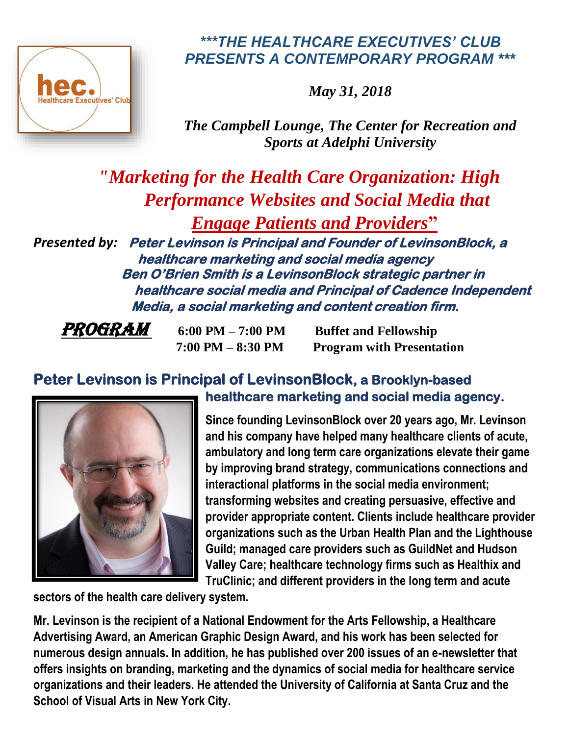

## *\*\*\*THE HEALTHCARE EXECUTIVES' CLUB PRESENTS A CONTEMPORARY PROGRAM \*\*\**

*May 31, 2018*

*The Campbell Lounge, The Center for Recreation and Sports at Adelphi University* 

 *"Marketing for the Health Care Organization: High Performance Websites and Social Media that Engage Patients and Providers***"**

*Presented by:* **Peter Levinson is Principal and Founder of LevinsonBlock, a healthcare marketing and social media agency Ben O'Brien Smith is a LevinsonBlock strategic partner in healthcare social media and Principal of Cadence Independent Media, a social marketing and content creation firm.** 

*PROGRAM* 6:00 PM – 7:00 PM Buffet and Fellowship  **7:00 PM – 8:30 PM Program with Presentation**

## **Peter Levinson is Principal of LevinsonBlock, a Brooklyn-based healthcare marketing and social media agency.**



**Since founding LevinsonBlock over 20 years ago, Mr. Levinson and his company have helped many healthcare clients of acute, ambulatory and long term care organizations elevate their game by improving brand strategy, communications connections and interactional platforms in the social media environment; transforming websites and creating persuasive, effective and provider appropriate content. Clients include healthcare provider organizations such as the Urban Health Plan and the Lighthouse Guild; managed care providers such as GuildNet and Hudson Valley Care; healthcare technology firms such as Healthix and TruClinic; and different providers in the long term and acute** 

**sectors of the health care delivery system.**

**Mr. Levinson is the recipient of a National Endowment for the Arts Fellowship, a Healthcare Advertising Award, an American Graphic Design Award, and his work has been selected for numerous design annuals. In addition, he has published over 200 issues of an e-newsletter that offers insights on branding, marketing and the dynamics of social media for healthcare service organizations and their leaders. He attended the University of California at Santa Cruz and the School of Visual Arts in New York City.**